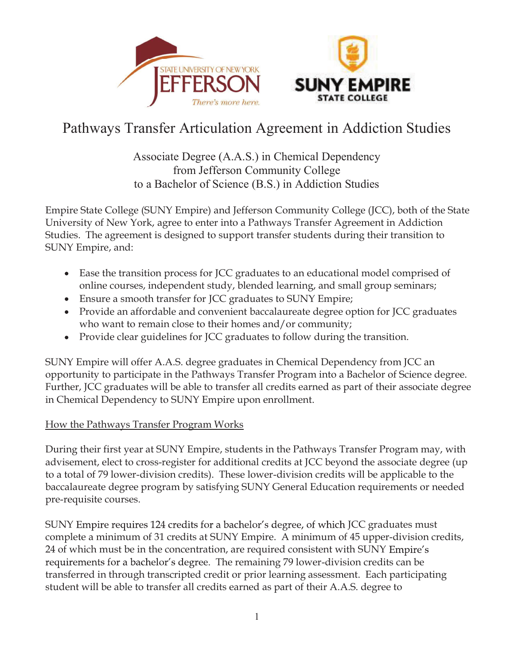



# Pathways Transfer Articulation Agreement in Addiction Studies

# Associate Degree (A.A.S.) in Chemical Dependency from Jefferson Community College to a Bachelor of Science (B.S.) in Addiction Studies

Empire State College (SUNY Empire) and Jefferson Community College (JCC), both of the State University of New York, agree to enter into a Pathways Transfer Agreement in Addiction Studies. The agreement is designed to support transfer students during their transition to SUNY Empire, and:

- Ease the transition process for JCC graduates to an educational model comprised of online courses, independent study, blended learning, and small group seminars;
- Ensure a smooth transfer for JCC graduates to SUNY Empire;
- Provide an affordable and convenient baccalaureate degree option for JCC graduates who want to remain close to their homes and/or community;
- Provide clear guidelines for JCC graduates to follow during the transition.

SUNY Empire will offer A.A.S. degree graduates in Chemical Dependency from JCC an opportunity to participate in the Pathways Transfer Program into a Bachelor of Science degree. Further, JCC graduates will be able to transfer all credits earned as part of their associate degree in Chemical Dependency to SUNY Empire upon enrollment.

# How the Pathways Transfer Program Works

During their first year at SUNY Empire, students in the Pathways Transfer Program may, with advisement, elect to cross-register for additional credits at JCC beyond the associate degree (up to a total of 79 lower-division credits). These lower-division credits will be applicable to the baccalaureate degree program by satisfying SUNY General Education requirements or needed pre-requisite courses.

SUNY Empire requires 124 credits for a bachelor's degree, of which JCC graduates must complete a minimum of 31 credits at SUNY Empire. A minimum of 45 upper-division credits, 24 of which must be in the concentration, are required consistent with SUNY requirements for a bachelor's degree. The remaining 79 lower-division credits can be transferred in through transcripted credit or prior learning assessment. Each participating student will be able to transfer all credits earned as part of their A.A.S. degree to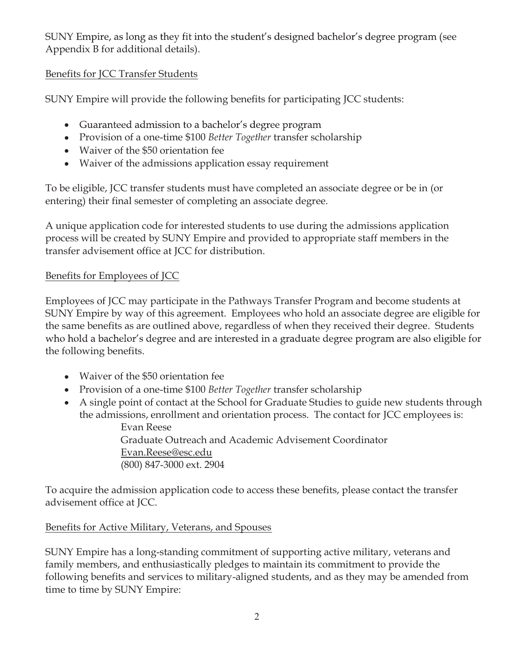SUNY Empire, as long as they fit into the student's designed bachelor's degree program (see Appendix B for additional details).

# Benefits for JCC Transfer Students

SUNY Empire will provide the following benefits for participating JCC students:

- Guaranteed admission to a bachelor's degree program
- Provision of a one-time \$100 *Better Together* transfer scholarship
- Waiver of the \$50 orientation fee
- Waiver of the admissions application essay requirement

To be eligible, JCC transfer students must have completed an associate degree or be in (or entering) their final semester of completing an associate degree.

A unique application code for interested students to use during the admissions application process will be created by SUNY Empire and provided to appropriate staff members in the transfer advisement office at JCC for distribution.

# Benefits for Employees of JCC

Employees of JCC may participate in the Pathways Transfer Program and become students at SUNY Empire by way of this agreement. Employees who hold an associate degree are eligible for the same benefits as are outlined above, regardless of when they received their degree. Students who hold a bachelor's degree and are interested in a graduate degree program are also eligible for the following benefits.

- Waiver of the \$50 orientation fee
- Provision of a one-time \$100 *Better Together* transfer scholarship
- A single point of contact at the School for Graduate Studies to guide new students through the admissions, enrollment and orientation process. The contact for JCC employees is:

 Evan Reese Graduate Outreach and Academic Advisement Coordinator Evan.Reese@esc.edu (800) 847-3000 ext. 2904

To acquire the admission application code to access these benefits, please contact the transfer advisement office at JCC.

# Benefits for Active Military, Veterans, and Spouses

SUNY Empire has a long-standing commitment of supporting active military, veterans and family members, and enthusiastically pledges to maintain its commitment to provide the following benefits and services to military-aligned students, and as they may be amended from time to time by SUNY Empire: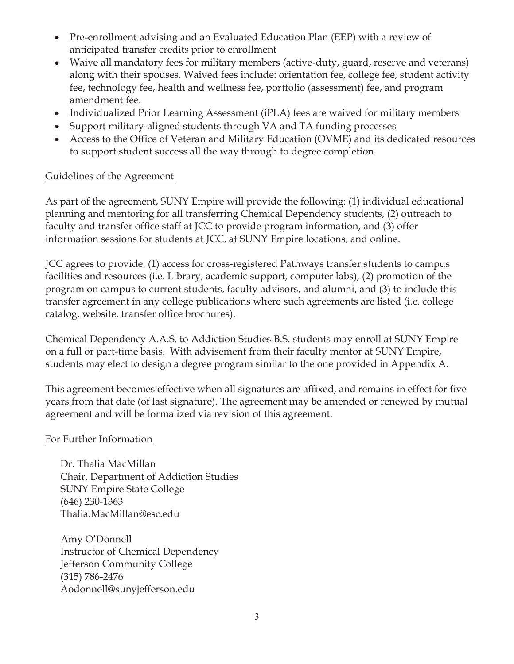- Pre-enrollment advising and an Evaluated Education Plan (EEP) with a review of anticipated transfer credits prior to enrollment
- Waive all mandatory fees for military members (active-duty, guard, reserve and veterans) along with their spouses. Waived fees include: orientation fee, college fee, student activity fee, technology fee, health and wellness fee, portfolio (assessment) fee, and program amendment fee.
- Individualized Prior Learning Assessment (iPLA) fees are waived for military members
- Support military-aligned students through VA and TA funding processes
- Access to the Office of Veteran and Military Education (OVME) and its dedicated resources to support student success all the way through to degree completion.

# Guidelines of the Agreement

As part of the agreement, SUNY Empire will provide the following: (1) individual educational planning and mentoring for all transferring Chemical Dependency students, (2) outreach to faculty and transfer office staff at JCC to provide program information, and (3) offer information sessions for students at JCC, at SUNY Empire locations, and online.

JCC agrees to provide: (1) access for cross-registered Pathways transfer students to campus facilities and resources (i.e. Library, academic support, computer labs), (2) promotion of the program on campus to current students, faculty advisors, and alumni, and (3) to include this transfer agreement in any college publications where such agreements are listed (i.e. college catalog, website, transfer office brochures).

Chemical Dependency A.A.S. to Addiction Studies B.S. students may enroll at SUNY Empire on a full or part-time basis. With advisement from their faculty mentor at SUNY Empire, students may elect to design a degree program similar to the one provided in Appendix A.

This agreement becomes effective when all signatures are affixed, and remains in effect for five years from that date (of last signature). The agreement may be amended or renewed by mutual agreement and will be formalized via revision of this agreement.

# For Further Information

Dr. Thalia MacMillan Chair, Department of Addiction Studies SUNY Empire State College (646) 230-1363 Thalia.MacMillan@esc.edu

Amy O'Donnell Instructor of Chemical Dependency Jefferson Community College (315) 786-2476 Aodonnell@sunyjefferson.edu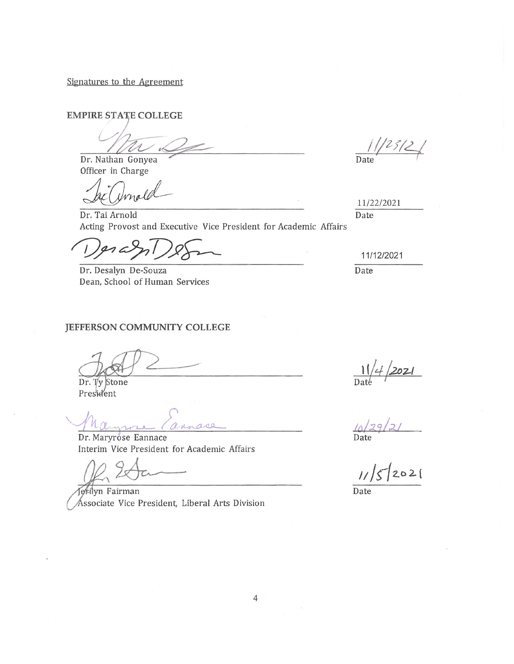Signatures to the Agreement

**EMPIRE STATE COLLEGE** 

Dr. Nathan Gonyea Officer in Charge

Dr. Tai Arnold Acting Provost and Executive Vice President for Academic Affairs

 $ln c<sup>9</sup>$ 

Dr. Desalyn De-Souza Dean, School of Human Services

#### JEFFERSON COMMUNITY COLLEGE

Dr. Ty Stone President

V.Mar

Dr. Maryrose Eannace Interim Vice President for Academic Affairs

erilyn Fairman Åssociate Vice President, Liberal Arts Division

 $\frac{1}{2}$ Date

11/22/2021 Date

#### 11/12/2021

Date

 $\frac{11}{2021}$ 

Date

 $11/5/2021$ 

 $\overline{Date}$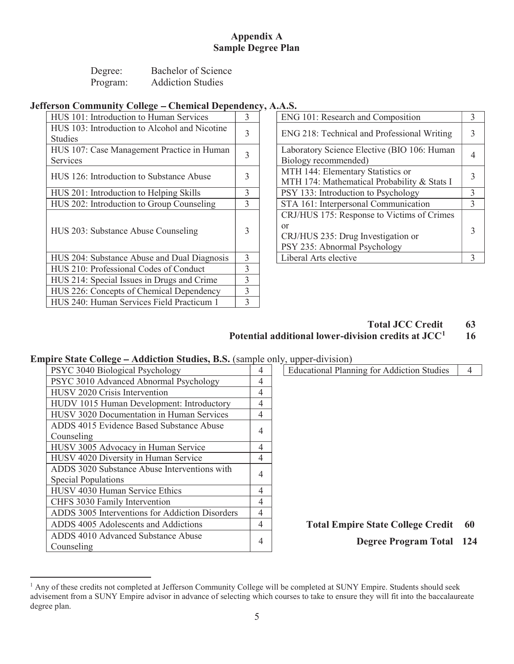### Appendix A Sample Degree Plan

| Degree:  | Bachelor of Science      |
|----------|--------------------------|
| Program: | <b>Addiction Studies</b> |

### Jefferson Community College - Chemical Dependency, A.A.S.

| HUS 101: Introduction to Human Services                         | 3              | ENG 101: Research and Composition                                                                                      | 3              |
|-----------------------------------------------------------------|----------------|------------------------------------------------------------------------------------------------------------------------|----------------|
| HUS 103: Introduction to Alcohol and Nicotine<br><b>Studies</b> | 3              | ENG 218: Technical and Professional Writing                                                                            | 3              |
| HUS 107: Case Management Practice in Human<br><b>Services</b>   | 3              | Laboratory Science Elective (BIO 106: Human<br>Biology recommended)                                                    | 4              |
| HUS 126: Introduction to Substance Abuse                        |                | MTH 144: Elementary Statistics or<br>MTH 174: Mathematical Probability & Stats I                                       | 3              |
| HUS 201: Introduction to Helping Skills                         | 3              | PSY 133: Introduction to Psychology                                                                                    | 3              |
| HUS 202: Introduction to Group Counseling                       | 3              | STA 161: Interpersonal Communication                                                                                   | 3              |
| HUS 203: Substance Abuse Counseling                             | 3              | CRJ/HUS 175: Response to Victims of Crimes<br>or<br>CRJ/HUS 235: Drug Investigation or<br>PSY 235: Abnormal Psychology | 3              |
| HUS 204: Substance Abuse and Dual Diagnosis                     | 3              | Liberal Arts elective                                                                                                  | $\overline{3}$ |
| HUS 210: Professional Codes of Conduct                          | 3              |                                                                                                                        |                |
| HUS 214: Special Issues in Drugs and Crime                      | $\overline{3}$ |                                                                                                                        |                |
| HUS 226: Concepts of Chemical Dependency                        | 3              |                                                                                                                        |                |
| HUS 240: Human Services Field Practicum 1                       | 3              |                                                                                                                        |                |

| ENG 101: Research and Composition                                                                                      |              |  |
|------------------------------------------------------------------------------------------------------------------------|--------------|--|
| ENG 218: Technical and Professional Writing                                                                            |              |  |
| Laboratory Science Elective (BIO 106: Human<br>Biology recommended)                                                    |              |  |
| MTH 144: Elementary Statistics or<br>MTH 174: Mathematical Probability & Stats I                                       |              |  |
| PSY 133: Introduction to Psychology                                                                                    |              |  |
| STA 161: Interpersonal Communication                                                                                   |              |  |
| CRJ/HUS 175: Response to Victims of Crimes<br>or<br>CRJ/HUS 235: Drug Investigation or<br>PSY 235: Abnormal Psychology | 3            |  |
| Liberal Arts elective                                                                                                  | $\mathbf{3}$ |  |

### Total JCC Credit 63 Potential additional lower-division credits at  $JCC<sup>1</sup>$  16

### **Empire State College – Addiction Studies, B.S.** (sample only, upper-division)

| $\min$ , $\min$ , $\min$ , $\min$ , $\min$ , $\min$ , $\min$ , $\min$ , $\min$ , $\min$ , $\min$ , $\min$ , $\min$ , $\min$ , $\min$ , $\min$ , $\min$ , $\min$ , $\min$ , $\min$ , $\min$ , $\min$ , $\min$ , $\min$ , $\min$ , $\min$ , $\min$ , $\min$ , $\min$ , $\min$ , $\min$ , $\min$ |   |                                                   |    |
|-----------------------------------------------------------------------------------------------------------------------------------------------------------------------------------------------------------------------------------------------------------------------------------------------|---|---------------------------------------------------|----|
| PSYC 3040 Biological Psychology                                                                                                                                                                                                                                                               | 4 | <b>Educational Planning for Addiction Studies</b> | 4  |
| PSYC 3010 Advanced Abnormal Psychology                                                                                                                                                                                                                                                        | 4 |                                                   |    |
| HUSV 2020 Crisis Intervention                                                                                                                                                                                                                                                                 | 4 |                                                   |    |
| HUDV 1015 Human Development: Introductory                                                                                                                                                                                                                                                     | 4 |                                                   |    |
| HUSV 3020 Documentation in Human Services                                                                                                                                                                                                                                                     | 4 |                                                   |    |
| ADDS 4015 Evidence Based Substance Abuse                                                                                                                                                                                                                                                      |   |                                                   |    |
| Counseling                                                                                                                                                                                                                                                                                    | 4 |                                                   |    |
| HUSV 3005 Advocacy in Human Service                                                                                                                                                                                                                                                           | 4 |                                                   |    |
| HUSV 4020 Diversity in Human Service                                                                                                                                                                                                                                                          | 4 |                                                   |    |
| ADDS 3020 Substance Abuse Interventions with                                                                                                                                                                                                                                                  |   |                                                   |    |
| <b>Special Populations</b>                                                                                                                                                                                                                                                                    | 4 |                                                   |    |
| HUSV 4030 Human Service Ethics                                                                                                                                                                                                                                                                | 4 |                                                   |    |
| CHFS 3030 Family Intervention                                                                                                                                                                                                                                                                 | 4 |                                                   |    |
| ADDS 3005 Interventions for Addiction Disorders                                                                                                                                                                                                                                               | 4 |                                                   |    |
| ADDS 4005 Adolescents and Addictions                                                                                                                                                                                                                                                          | 4 | <b>Total Empire State College Credit</b>          | 60 |
| ADDS 4010 Advanced Substance Abuse                                                                                                                                                                                                                                                            |   |                                                   |    |
| Counseling                                                                                                                                                                                                                                                                                    | 4 | <b>Degree Program Total 124</b>                   |    |
|                                                                                                                                                                                                                                                                                               |   |                                                   |    |

<sup>&</sup>lt;sup>1</sup> Any of these credits not completed at Jefferson Community College will be completed at SUNY Empire. Students should seek advisement from a SUNY Empire advisor in advance of selecting which courses to take to ensure they will fit into the baccalaureate degree plan.